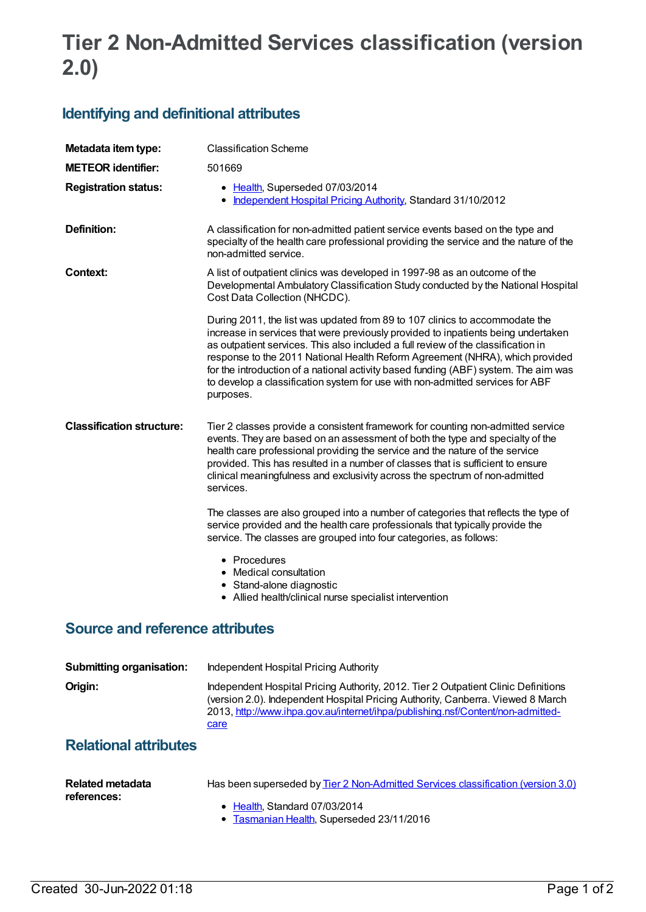## **Tier 2 Non-Admitted Services classification (version 2.0)**

## **Identifying and definitional attributes**

| Metadata item type:              | <b>Classification Scheme</b>                                                                                                                                                                                                                                                                                                                                                                                                                                                                                               |
|----------------------------------|----------------------------------------------------------------------------------------------------------------------------------------------------------------------------------------------------------------------------------------------------------------------------------------------------------------------------------------------------------------------------------------------------------------------------------------------------------------------------------------------------------------------------|
| <b>METEOR</b> identifier:        | 501669                                                                                                                                                                                                                                                                                                                                                                                                                                                                                                                     |
| <b>Registration status:</b>      | • Health, Superseded 07/03/2014<br>• Independent Hospital Pricing Authority, Standard 31/10/2012                                                                                                                                                                                                                                                                                                                                                                                                                           |
| <b>Definition:</b>               | A classification for non-admitted patient service events based on the type and<br>specialty of the health care professional providing the service and the nature of the<br>non-admitted service.                                                                                                                                                                                                                                                                                                                           |
| Context:                         | A list of outpatient clinics was developed in 1997-98 as an outcome of the<br>Developmental Ambulatory Classification Study conducted by the National Hospital<br>Cost Data Collection (NHCDC).                                                                                                                                                                                                                                                                                                                            |
|                                  | During 2011, the list was updated from 89 to 107 clinics to accommodate the<br>increase in services that were previously provided to inpatients being undertaken<br>as outpatient services. This also included a full review of the classification in<br>response to the 2011 National Health Reform Agreement (NHRA), which provided<br>for the introduction of a national activity based funding (ABF) system. The aim was<br>to develop a classification system for use with non-admitted services for ABF<br>purposes. |
| <b>Classification structure:</b> | Tier 2 classes provide a consistent framework for counting non-admitted service<br>events. They are based on an assessment of both the type and specialty of the<br>health care professional providing the service and the nature of the service<br>provided. This has resulted in a number of classes that is sufficient to ensure<br>clinical meaningfulness and exclusivity across the spectrum of non-admitted<br>services.                                                                                            |
|                                  | The classes are also grouped into a number of categories that reflects the type of<br>service provided and the health care professionals that typically provide the<br>service. The classes are grouped into four categories, as follows:                                                                                                                                                                                                                                                                                  |
|                                  | • Procedures<br>• Medical consultation<br>• Stand-alone diagnostic<br>• Allied health/clinical nurse specialist intervention                                                                                                                                                                                                                                                                                                                                                                                               |

## **Source and reference attributes**

| <b>Submitting organisation:</b> | Independent Hospital Pricing Authority                                                                                                                                                                                                                           |
|---------------------------------|------------------------------------------------------------------------------------------------------------------------------------------------------------------------------------------------------------------------------------------------------------------|
| Origin:                         | Independent Hospital Pricing Authority, 2012. Tier 2 Outpatient Clinic Definitions<br>(version 2.0). Independent Hospital Pricing Authority, Canberra. Viewed 8 March<br>2013, http://www.ihpa.gov.au/internet/ihpa/publishing.nsf/Content/non-admitted-<br>care |
| Delettenel ettelenten           |                                                                                                                                                                                                                                                                  |

## **Relational attributes**

| <b>Related metadata</b> | Has been superseded by Tier 2 Non-Admitted Services classification (version 3.0) |
|-------------------------|----------------------------------------------------------------------------------|
| references:             |                                                                                  |
|                         | • Health, Standard 07/03/2014                                                    |
|                         | • Tasmanian Health, Superseded 23/11/2016                                        |